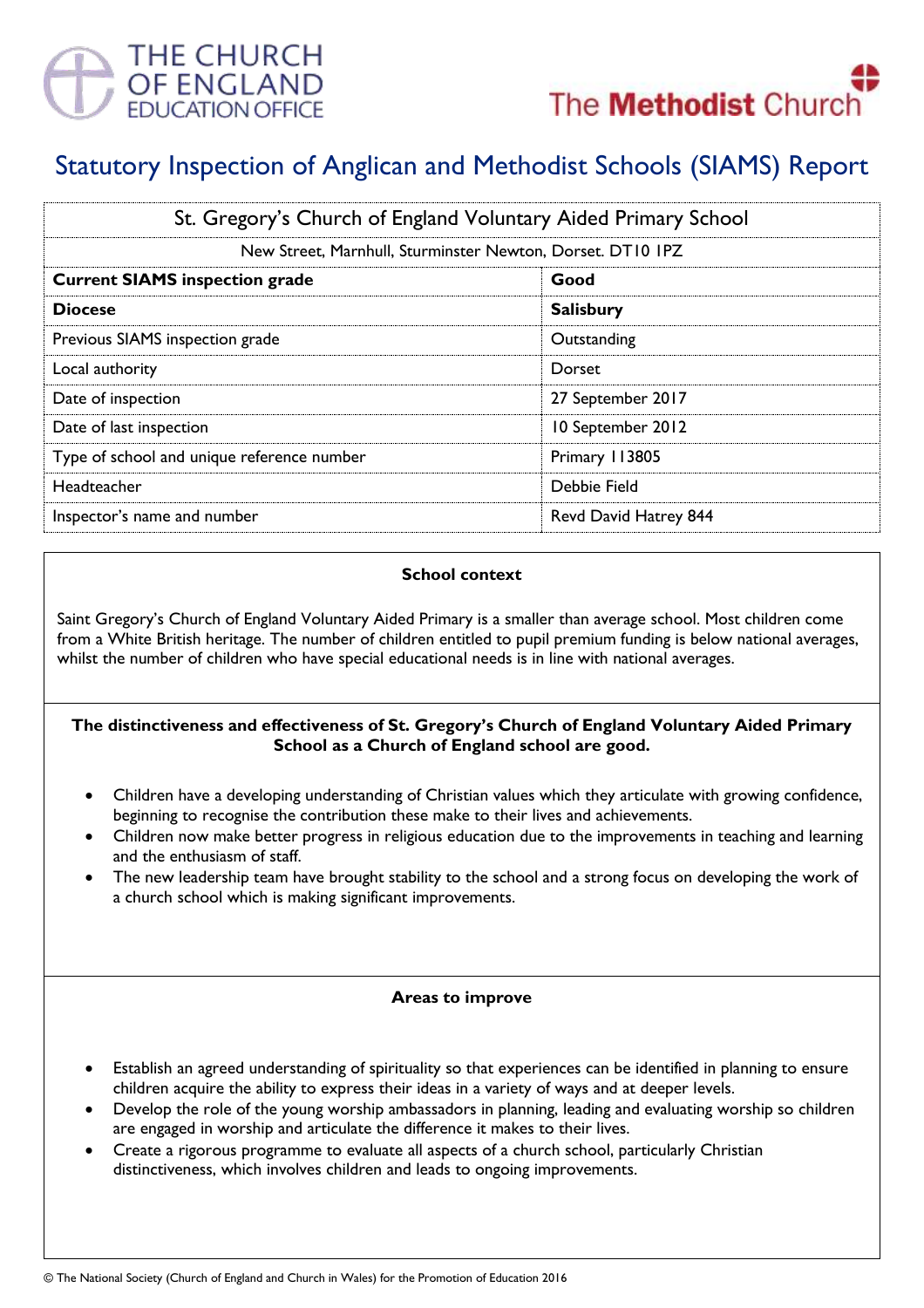



# Statutory Inspection of Anglican and Methodist Schools (SIAMS) Report

| St. Gregory's Church of England Voluntary Aided Primary School |                       |
|----------------------------------------------------------------|-----------------------|
| New Street, Marnhull, Sturminster Newton, Dorset. DT10 IPZ     |                       |
| <b>Current SIAMS inspection grade</b>                          | Good                  |
| <b>Diocese</b>                                                 | <b>Salisbury</b>      |
| Previous SIAMS inspection grade                                | Outstanding           |
| Local authority                                                | Dorset                |
| Date of inspection                                             | 27 September 2017     |
| Date of last inspection                                        | 10 September 2012     |
| Type of school and unique reference number                     | Primary 113805        |
| Headteacher                                                    | Debbie Field          |
| Inspector's name and number                                    | Revd David Hatrey 844 |

#### **School context**

Saint Gregory's Church of England Voluntary Aided Primary is a smaller than average school. Most children come from a White British heritage. The number of children entitled to pupil premium funding is below national averages, whilst the number of children who have special educational needs is in line with national averages.

### **The distinctiveness and effectiveness of St. Gregory's Church of England Voluntary Aided Primary School as a Church of England school are good.**

- Children have a developing understanding of Christian values which they articulate with growing confidence, beginning to recognise the contribution these make to their lives and achievements.
- Children now make better progress in religious education due to the improvements in teaching and learning and the enthusiasm of staff.
- The new leadership team have brought stability to the school and a strong focus on developing the work of a church school which is making significant improvements.

# **Areas to improve**

- Establish an agreed understanding of spirituality so that experiences can be identified in planning to ensure children acquire the ability to express their ideas in a variety of ways and at deeper levels.
- Develop the role of the young worship ambassadors in planning, leading and evaluating worship so children are engaged in worship and articulate the difference it makes to their lives.
- Create a rigorous programme to evaluate all aspects of a church school, particularly Christian distinctiveness, which involves children and leads to ongoing improvements.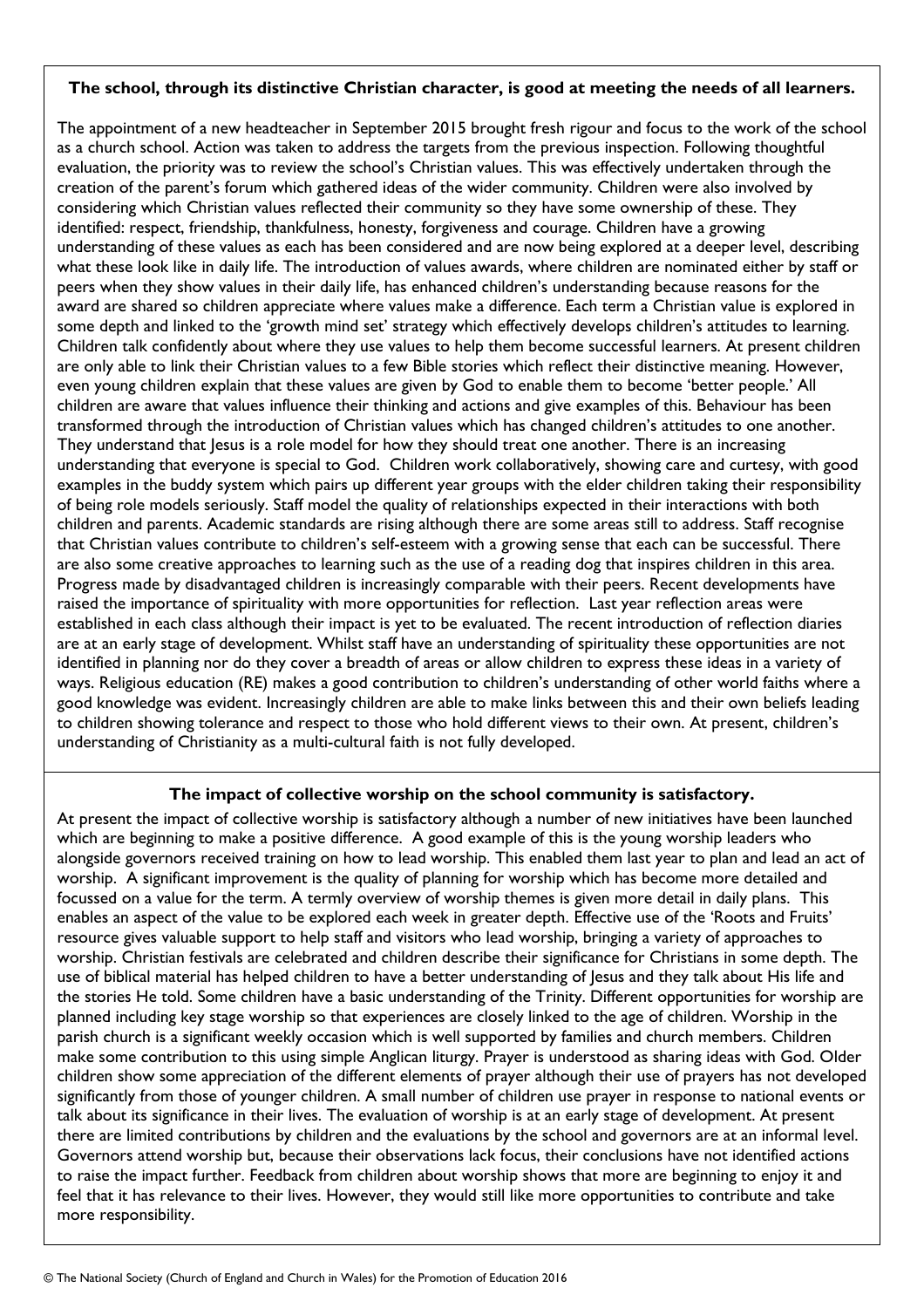## **The school, through its distinctive Christian character, is good at meeting the needs of all learners.**

The appointment of a new headteacher in September 2015 brought fresh rigour and focus to the work of the school as a church school. Action was taken to address the targets from the previous inspection. Following thoughtful evaluation, the priority was to review the school's Christian values. This was effectively undertaken through the creation of the parent's forum which gathered ideas of the wider community. Children were also involved by considering which Christian values reflected their community so they have some ownership of these. They identified: respect, friendship, thankfulness, honesty, forgiveness and courage. Children have a growing understanding of these values as each has been considered and are now being explored at a deeper level, describing what these look like in daily life. The introduction of values awards, where children are nominated either by staff or peers when they show values in their daily life, has enhanced children's understanding because reasons for the award are shared so children appreciate where values make a difference. Each term a Christian value is explored in some depth and linked to the 'growth mind set' strategy which effectively develops children's attitudes to learning. Children talk confidently about where they use values to help them become successful learners. At present children are only able to link their Christian values to a few Bible stories which reflect their distinctive meaning. However, even young children explain that these values are given by God to enable them to become 'better people.' All children are aware that values influence their thinking and actions and give examples of this. Behaviour has been transformed through the introduction of Christian values which has changed children's attitudes to one another. They understand that Jesus is a role model for how they should treat one another. There is an increasing understanding that everyone is special to God. Children work collaboratively, showing care and curtesy, with good examples in the buddy system which pairs up different year groups with the elder children taking their responsibility of being role models seriously. Staff model the quality of relationships expected in their interactions with both children and parents. Academic standards are rising although there are some areas still to address. Staff recognise that Christian values contribute to children's self-esteem with a growing sense that each can be successful. There are also some creative approaches to learning such as the use of a reading dog that inspires children in this area. Progress made by disadvantaged children is increasingly comparable with their peers. Recent developments have raised the importance of spirituality with more opportunities for reflection. Last year reflection areas were established in each class although their impact is yet to be evaluated. The recent introduction of reflection diaries are at an early stage of development. Whilst staff have an understanding of spirituality these opportunities are not identified in planning nor do they cover a breadth of areas or allow children to express these ideas in a variety of ways. Religious education (RE) makes a good contribution to children's understanding of other world faiths where a good knowledge was evident. Increasingly children are able to make links between this and their own beliefs leading to children showing tolerance and respect to those who hold different views to their own. At present, children's understanding of Christianity as a multi-cultural faith is not fully developed.

# **The impact of collective worship on the school community is satisfactory.**

At present the impact of collective worship is satisfactory although a number of new initiatives have been launched which are beginning to make a positive difference. A good example of this is the young worship leaders who alongside governors received training on how to lead worship. This enabled them last year to plan and lead an act of worship. A significant improvement is the quality of planning for worship which has become more detailed and focussed on a value for the term. A termly overview of worship themes is given more detail in daily plans. This enables an aspect of the value to be explored each week in greater depth. Effective use of the 'Roots and Fruits' resource gives valuable support to help staff and visitors who lead worship, bringing a variety of approaches to worship. Christian festivals are celebrated and children describe their significance for Christians in some depth. The use of biblical material has helped children to have a better understanding of Jesus and they talk about His life and the stories He told. Some children have a basic understanding of the Trinity. Different opportunities for worship are planned including key stage worship so that experiences are closely linked to the age of children. Worship in the parish church is a significant weekly occasion which is well supported by families and church members. Children make some contribution to this using simple Anglican liturgy. Prayer is understood as sharing ideas with God. Older children show some appreciation of the different elements of prayer although their use of prayers has not developed significantly from those of younger children. A small number of children use prayer in response to national events or talk about its significance in their lives. The evaluation of worship is at an early stage of development. At present there are limited contributions by children and the evaluations by the school and governors are at an informal level. Governors attend worship but, because their observations lack focus, their conclusions have not identified actions to raise the impact further. Feedback from children about worship shows that more are beginning to enjoy it and feel that it has relevance to their lives. However, they would still like more opportunities to contribute and take more responsibility.